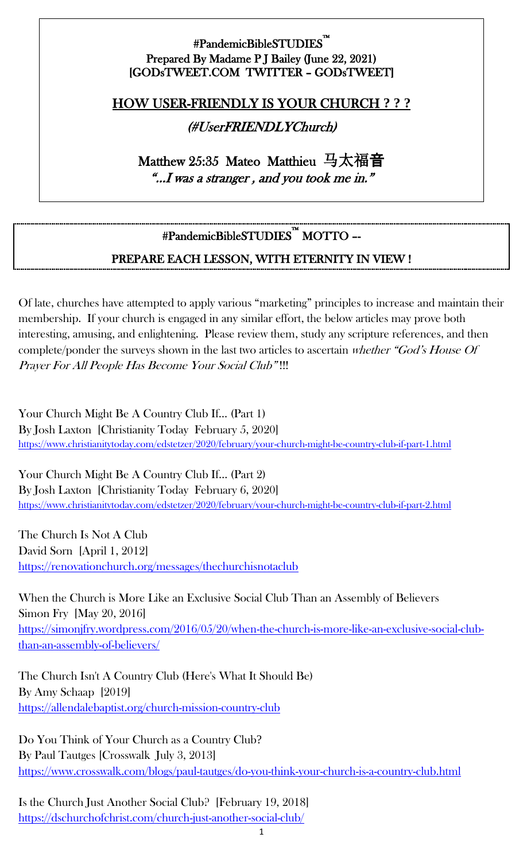#### #PandemicBibleSTUDIES™ i<br>L Prepared By Madame P J Bailey (June 22, 2021) [GODsTWEET.COM TWITTER – GODsTWEET]

### HOW USER-FRIENDLY IS YOUR CHURCH **? ? ?**

### (#UserFRIENDLYChurch)

Matthew 25:35 Mateo Matthieu 马太福音 "…I was a stranger , and you took me in."

# #PandemicBibleSTUDIES™ MOTTO –-

### PREPARE EACH LESSON, WITH ETERNITY IN VIEW !

Of late, churches have attempted to apply various "marketing" principles to increase and maintain their membership. If your church is engaged in any similar effort, the below articles may prove both interesting, amusing, and enlightening. Please review them, study any scripture references, and then complete/ponder the surveys shown in the last two articles to ascertain whether "God's House Of Prayer For All People Has Become Your Social Club" !!!

Your Church Might Be A Country Club If… (Part 1) By Josh Laxton [Christianity Today February 5, 2020] <https://www.christianitytoday.com/edstetzer/2020/february/your-church-might-be-country-club-if-part-1.html>

Your Church Might Be A Country Club If… (Part 2) By Josh Laxton [Christianity Today February 6, 2020] <https://www.christianitytoday.com/edstetzer/2020/february/your-church-might-be-country-club-if-part-2.html>

The Church Is Not A Club David Sorn [April 1, 2012] <https://renovationchurch.org/messages/thechurchisnotaclub>

When the Church is More Like an Exclusive Social Club Than an Assembly of Believers Simon Fry [May 20, 2016] [https://simonjfry.wordpress.com/2016/05/20/when-the-church-is-more-like-an-exclusive-social-club](https://simonjfry.wordpress.com/2016/05/20/when-the-church-is-more-like-an-exclusive-social-club-than-an-assembly-of-believers/)[than-an-assembly-of-believers/](https://simonjfry.wordpress.com/2016/05/20/when-the-church-is-more-like-an-exclusive-social-club-than-an-assembly-of-believers/)

The Church Isn't A Country Club (Here's What It Should Be) By Amy Schaap [2019] <https://allendalebaptist.org/church-mission-country-club>

Do You Think of Your Church as a Country Club? By Paul Tautges [Crosswalk July 3, 2013] <https://www.crosswalk.com/blogs/paul-tautges/do-you-think-your-church-is-a-country-club.html>

Is the Church Just Another Social Club? [February 19, 2018] <https://dschurchofchrist.com/church-just-another-social-club/>